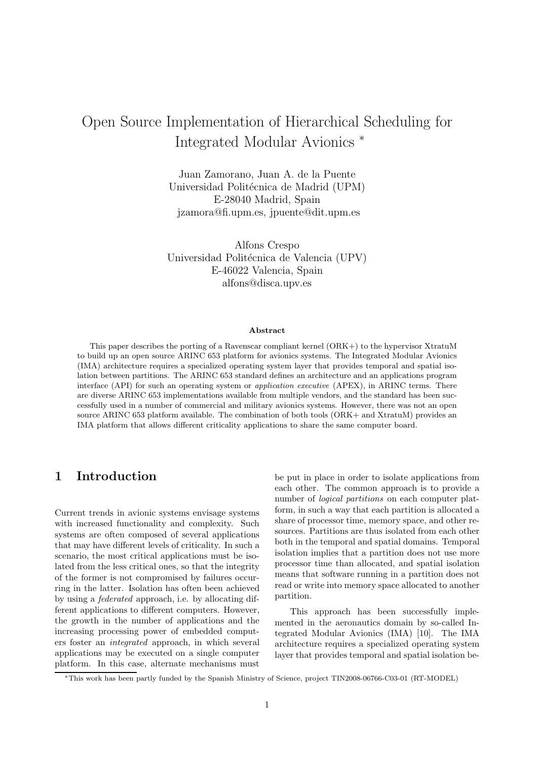# Open Source Implementation of Hierarchical Scheduling for Integrated Modular Avionics <sup>∗</sup>

Juan Zamorano, Juan A. de la Puente Universidad Politécnica de Madrid (UPM) E-28040 Madrid, Spain jzamora@fi.upm.es, jpuente@dit.upm.es

Alfons Crespo Universidad Politécnica de Valencia (UPV) E-46022 Valencia, Spain alfons@disca.upv.es

#### Abstract

This paper describes the porting of a Ravenscar compliant kernel (ORK+) to the hypervisor XtratuM to build up an open source ARINC 653 platform for avionics systems. The Integrated Modular Avionics (IMA) architecture requires a specialized operating system layer that provides temporal and spatial isolation between partitions. The ARINC 653 standard defines an architecture and an applications program interface (API) for such an operating system or *application executive* (APEX), in ARINC terms. There are diverse ARINC 653 implementations available from multiple vendors, and the standard has been successfully used in a number of commercial and military avionics systems. However, there was not an open source ARINC 653 platform available. The combination of both tools (ORK+ and XtratuM) provides an IMA platform that allows different criticality applications to share the same computer board.

#### 1 Introduction

Current trends in avionic systems envisage systems with increased functionality and complexity. Such systems are often composed of several applications that may have different levels of criticality. In such a scenario, the most critical applications must be isolated from the less critical ones, so that the integrity of the former is not compromised by failures occurring in the latter. Isolation has often been achieved by using a federated approach, i.e. by allocating different applications to different computers. However, the growth in the number of applications and the increasing processing power of embedded computers foster an integrated approach, in which several applications may be executed on a single computer platform. In this case, alternate mechanisms must be put in place in order to isolate applications from each other. The common approach is to provide a number of logical partitions on each computer platform, in such a way that each partition is allocated a share of processor time, memory space, and other resources. Partitions are thus isolated from each other both in the temporal and spatial domains. Temporal isolation implies that a partition does not use more processor time than allocated, and spatial isolation means that software running in a partition does not read or write into memory space allocated to another partition.

This approach has been successfully implemented in the aeronautics domain by so-called Integrated Modular Avionics (IMA) [10]. The IMA architecture requires a specialized operating system layer that provides temporal and spatial isolation be-

<sup>∗</sup>This work has been partly funded by the Spanish Ministry of Science, project TIN2008-06766-C03-01 (RT-MODEL)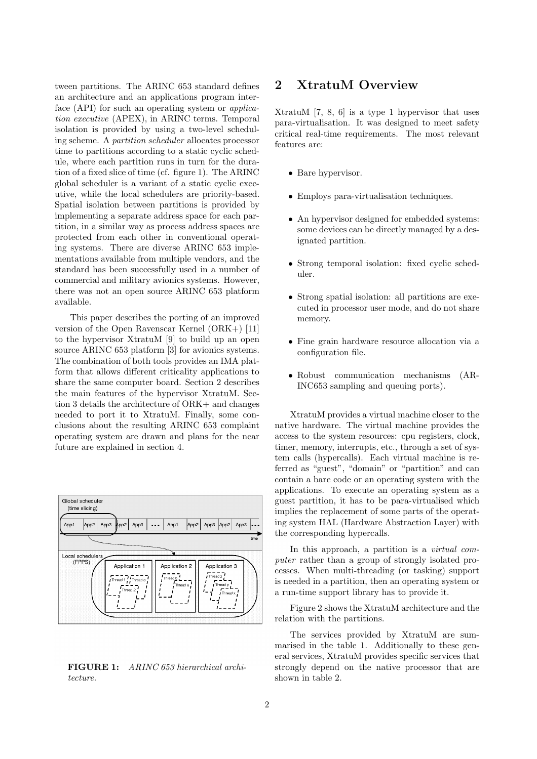tween partitions. The ARINC 653 standard defines an architecture and an applications program interface (API) for such an operating system or *applica*tion executive (APEX), in ARINC terms. Temporal isolation is provided by using a two-level scheduling scheme. A partition scheduler allocates processor time to partitions according to a static cyclic schedule, where each partition runs in turn for the duration of a fixed slice of time (cf. figure 1). The ARINC global scheduler is a variant of a static cyclic executive, while the local schedulers are priority-based. Spatial isolation between partitions is provided by implementing a separate address space for each partition, in a similar way as process address spaces are protected from each other in conventional operating systems. There are diverse ARINC 653 implementations available from multiple vendors, and the standard has been successfully used in a number of commercial and military avionics systems. However, there was not an open source ARINC 653 platform available.

This paper describes the porting of an improved version of the Open Ravenscar Kernel (ORK+) [11] to the hypervisor XtratuM [9] to build up an open source ARINC 653 platform [3] for avionics systems. The combination of both tools provides an IMA platform that allows different criticality applications to share the same computer board. Section 2 describes the main features of the hypervisor XtratuM. Section 3 details the architecture of ORK+ and changes needed to port it to XtratuM. Finally, some conclusions about the resulting ARINC 653 complaint operating system are drawn and plans for the near future are explained in section 4.



FIGURE 1: ARINC 653 hierarchical architecture.

## 2 XtratuM Overview

XtratuM [7, 8, 6] is a type 1 hypervisor that uses para-virtualisation. It was designed to meet safety critical real-time requirements. The most relevant features are:

- Bare hypervisor.
- Employs para-virtualisation techniques.
- An hypervisor designed for embedded systems: some devices can be directly managed by a designated partition.
- Strong temporal isolation: fixed cyclic scheduler.
- Strong spatial isolation: all partitions are executed in processor user mode, and do not share memory.
- Fine grain hardware resource allocation via a configuration file.
- Robust communication mechanisms (AR-INC653 sampling and queuing ports).

XtratuM provides a virtual machine closer to the native hardware. The virtual machine provides the access to the system resources: cpu registers, clock, timer, memory, interrupts, etc., through a set of system calls (hypercalls). Each virtual machine is referred as "guest", "domain" or "partition" and can contain a bare code or an operating system with the applications. To execute an operating system as a guest partition, it has to be para-virtualised which implies the replacement of some parts of the operating system HAL (Hardware Abstraction Layer) with the corresponding hypercalls.

In this approach, a partition is a *virtual com*puter rather than a group of strongly isolated processes. When multi-threading (or tasking) support is needed in a partition, then an operating system or a run-time support library has to provide it.

Figure 2 shows the XtratuM architecture and the relation with the partitions.

The services provided by XtratuM are summarised in the table 1. Additionally to these general services, XtratuM provides specific services that strongly depend on the native processor that are shown in table 2.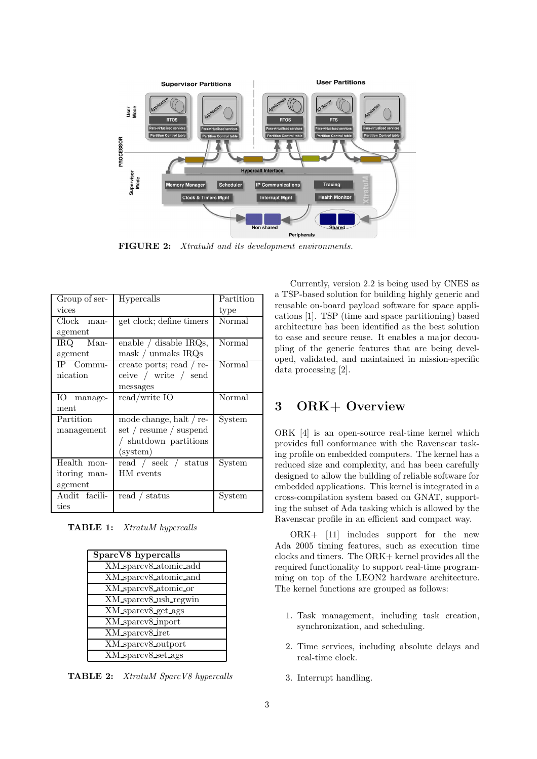

FIGURE 2: XtratuM and its development environments.

| Group of ser- | Hypercalls                            | Partition |
|---------------|---------------------------------------|-----------|
| vices         |                                       | type      |
| Clock man-    | get clock; define timers              | Normal    |
| agement       |                                       |           |
| IRQ Man-      | enable / disable IRQs,                | Normal    |
| agement       | mask / unmaks IRQs                    |           |
| IP Commu-     | create ports; read $\frac{\ }{r}$ re- | Normal    |
| nication      | ceive / write / send                  |           |
|               | messages                              |           |
| IO manage-    | read/write IO                         | Normal    |
| ment          |                                       |           |
| Partition     | mode change, halt / re-               | System    |
| management    | set / resume / suspend                |           |
|               | / shutdown partitions                 |           |
|               | (system)                              |           |
|               |                                       |           |
| Health mon-   | read / seek / status                  | System    |
| itoring man-  | HM events                             |           |
| agement       |                                       |           |
| Audit facili- | read / status                         | System    |

TABLE 1: XtratuM hypercalls

| SparcV8 hypercalls    |
|-----------------------|
| XM_sparcv8_atomic_add |
| XM sparcv8 atomic and |
| XM_sparcv8_atomic_or  |
| XM sparcv8_ush_regwin |
| XM sparcv8 get ags    |
| XM_sparcv8_inport     |
| XM sparcv8 iret       |
| XM_sparcv8_outport    |
| XM_sparcv8_set_ags    |

TABLE 2: XtratuM SparcV8 hypercalls

Currently, version 2.2 is being used by CNES as a TSP-based solution for building highly generic and reusable on-board payload software for space applications [1]. TSP (time and space partitioning) based architecture has been identified as the best solution to ease and secure reuse. It enables a major decoupling of the generic features that are being developed, validated, and maintained in mission-specific data processing [2].

## 3 ORK+ Overview

ORK [4] is an open-source real-time kernel which provides full conformance with the Ravenscar tasking profile on embedded computers. The kernel has a reduced size and complexity, and has been carefully designed to allow the building of reliable software for embedded applications. This kernel is integrated in a cross-compilation system based on GNAT, supporting the subset of Ada tasking which is allowed by the Ravenscar profile in an efficient and compact way.

ORK+ [11] includes support for the new Ada 2005 timing features, such as execution time clocks and timers. The ORK+ kernel provides all the required functionality to support real-time programming on top of the LEON2 hardware architecture. The kernel functions are grouped as follows:

- 1. Task management, including task creation, synchronization, and scheduling.
- 2. Time services, including absolute delays and real-time clock.
- 3. Interrupt handling.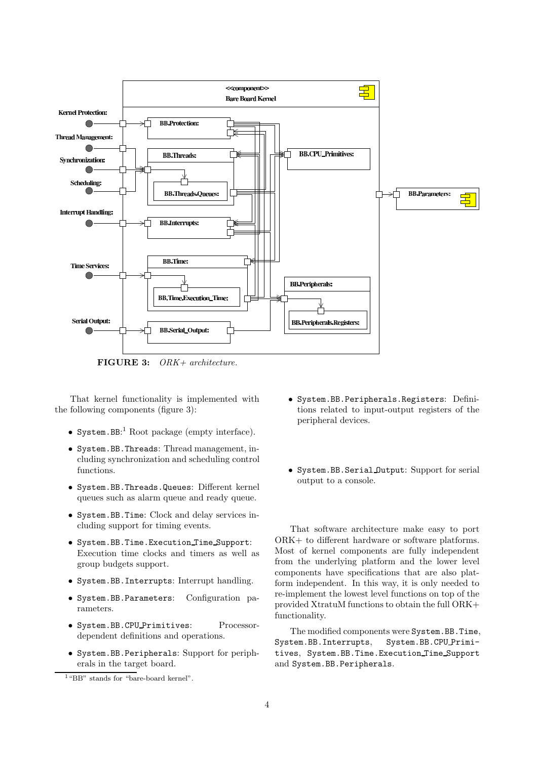

FIGURE 3: ORK+ architecture.

That kernel functionality is implemented with the following components (figure 3):

- System.  $BB:$ <sup>1</sup> Root package (empty interface).
- System.BB.Threads: Thread management, including synchronization and scheduling control functions.
- System.BB.Threads.Queues: Different kernel queues such as alarm queue and ready queue.
- System.BB.Time: Clock and delay services including support for timing events.
- System.BB.Time.Execution Time Support: Execution time clocks and timers as well as group budgets support.
- System.BB.Interrupts: Interrupt handling.
- System.BB.Parameters: Configuration parameters.
- System.BB.CPU Primitives: Processordependent definitions and operations.
- System.BB.Peripherals: Support for peripherals in the target board.
- System.BB.Peripherals.Registers: Definitions related to input-output registers of the peripheral devices.
- System.BB.Serial Output: Support for serial output to a console.

That software architecture make easy to port ORK+ to different hardware or software platforms. Most of kernel components are fully independent from the underlying platform and the lower level components have specifications that are also platform independent. In this way, it is only needed to re-implement the lowest level functions on top of the provided XtratuM functions to obtain the full ORK+ functionality.

The modified components were System.BB.Time, System.BB.Interrupts, System.BB.CPU Primitives, System.BB.Time.Execution Time Support and System.BB.Peripherals.

<sup>&</sup>lt;sup>1</sup>"BB" stands for "bare-board kernel".